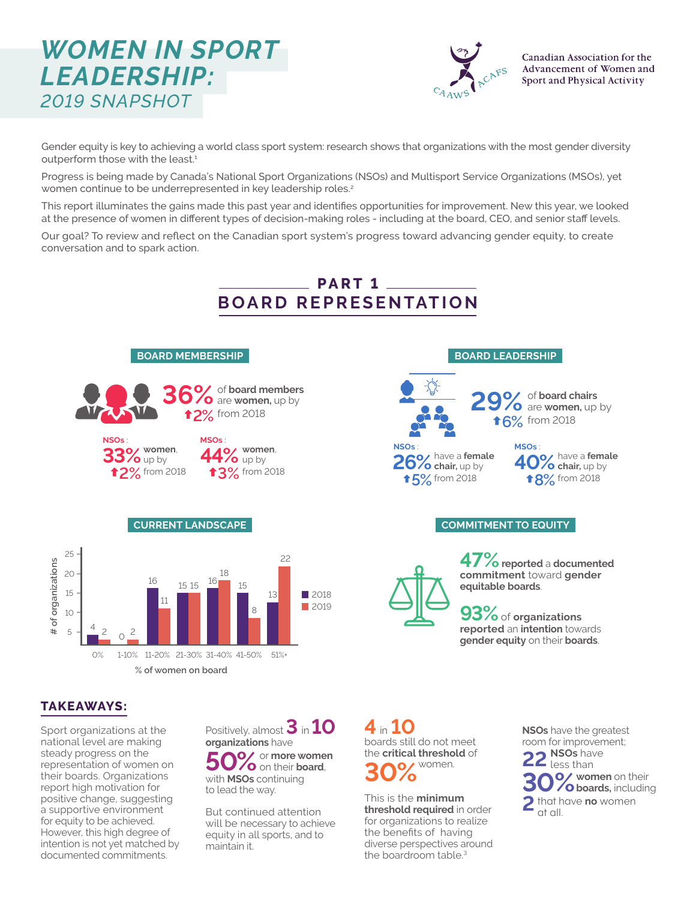# *WOMEN IN SPORT LEADERSHIP: 2019 SNAPSHOT*



Gender equity is key to achieving a world class sport system: research shows that organizations with the most gender diversity outperform those with the least.<sup>1</sup>

Progress is being made by Canada's National Sport Organizations (NSOs) and Multisport Service Organizations (MSOs), yet women continue to be underrepresented in key leadership roles.<sup>2</sup>

This report illuminates the gains made this past year and identifies opportunities for improvement. New this year, we looked at the presence of women in different types of decision-making roles - including at the board, CEO, and senior staff levels.

Our goal? To review and reflect on the Canadian sport system's progress toward advancing gender equity, to create conversation and to spark action.



### **TAKEAWAYS:**

Sport organizations at the national level are making steady progress on the representation of women on their boards. Organizations report high motivation for positive change, suggesting a supportive environment for equity to be achieved. However, this high degree of intention is not yet matched by documented commitments.

Positively, almost **3** in **10 organizations** have  $50\%$  or more women with **MSOs** continuing to lead the way.

But continued attention will be necessary to achieve equity in all sports, and to maintain it.

boards still do not meet the **critical threshold** of **30%**women. **4** in **10**

This is the **minimum threshold required** in order for organizations to realize the benefits of having diverse perspectives around the boardroom table.<sup>3</sup>

**NSOs** have the greatest room for improvement; **2 NSOs** have less than **32 V oboards**, including 2 that have **no** women